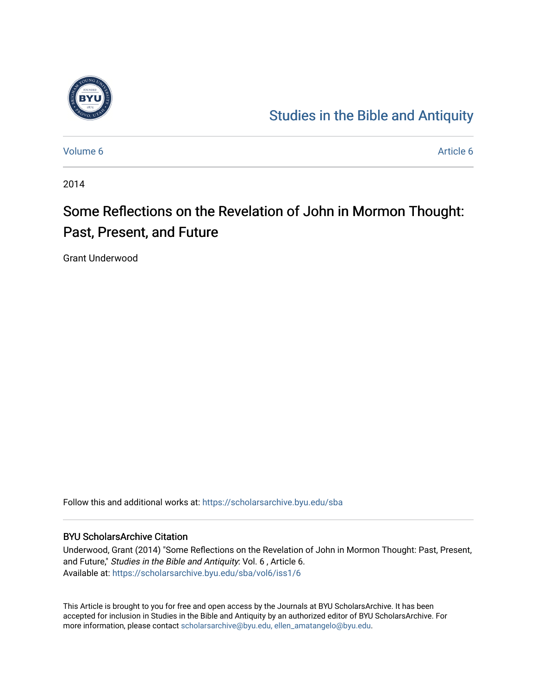

# [Studies in the Bible and Antiquity](https://scholarsarchive.byu.edu/sba)

[Volume 6](https://scholarsarchive.byu.edu/sba/vol6) Article 6

2014

# Some Reflections on the Revelation of John in Mormon Thought: Past, Present, and Future

Grant Underwood

Follow this and additional works at: [https://scholarsarchive.byu.edu/sba](https://scholarsarchive.byu.edu/sba?utm_source=scholarsarchive.byu.edu%2Fsba%2Fvol6%2Fiss1%2F6&utm_medium=PDF&utm_campaign=PDFCoverPages)

#### BYU ScholarsArchive Citation

Underwood, Grant (2014) "Some Reflections on the Revelation of John in Mormon Thought: Past, Present, and Future," Studies in the Bible and Antiquity: Vol. 6 , Article 6. Available at: [https://scholarsarchive.byu.edu/sba/vol6/iss1/6](https://scholarsarchive.byu.edu/sba/vol6/iss1/6?utm_source=scholarsarchive.byu.edu%2Fsba%2Fvol6%2Fiss1%2F6&utm_medium=PDF&utm_campaign=PDFCoverPages)

This Article is brought to you for free and open access by the Journals at BYU ScholarsArchive. It has been accepted for inclusion in Studies in the Bible and Antiquity by an authorized editor of BYU ScholarsArchive. For more information, please contact [scholarsarchive@byu.edu, ellen\\_amatangelo@byu.edu.](mailto:scholarsarchive@byu.edu,%20ellen_amatangelo@byu.edu)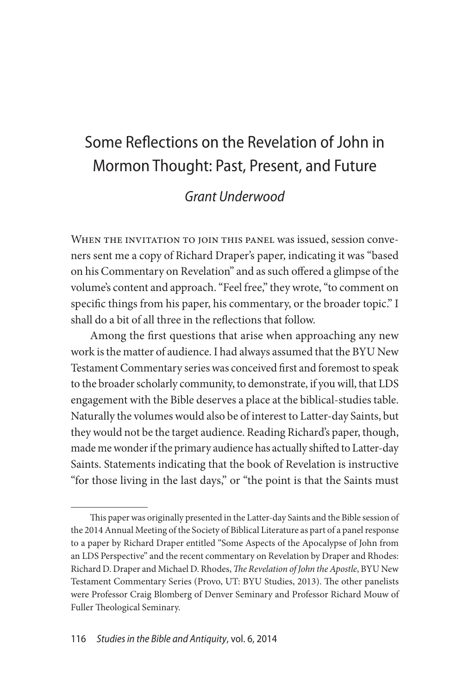## Some Reflections on the Revelation of John in Mormon Thought: Past, Present, and Future

### *Grant Underwood*

WHEN THE INVITATION TO JOIN THIS PANEL was issued, session conveners sent me a copy of Richard Draper's paper, indicating it was "based on his Commentary on Revelation" and as such offered a glimpse of the volume's content and approach. "Feel free," they wrote, "to comment on specific things from his paper, his commentary, or the broader topic." I shall do a bit of all three in the reflections that follow.

Among the first questions that arise when approaching any new work is the matter of audience. I had always assumed that the BYU New Testament Commentary series was conceived first and foremost to speak to the broader scholarly community, to demonstrate, if you will, that LDS engagement with the Bible deserves a place at the biblical-studies table. Naturally the volumes would also be of interest to Latter-day Saints, but they would not be the target audience. Reading Richard's paper, though, made me wonder if the primary audience has actually shifted to Latter-day Saints. Statements indicating that the book of Revelation is instructive "for those living in the last days," or "the point is that the Saints must

This paper was originally presented in the Latter-day Saints and the Bible session of the 2014 Annual Meeting of the Society of Biblical Literature as part of a panel response to a paper by Richard Draper entitled "Some Aspects of the Apocalypse of John from an LDS Perspective" and the recent commentary on Revelation by Draper and Rhodes: Richard D. Draper and Michael D. Rhodes, *The Revelation of John the Apostle*, BYU New Testament Commentary Series (Provo, UT: BYU Studies, 2013). The other panelists were Professor Craig Blomberg of Denver Seminary and Professor Richard Mouw of Fuller Theological Seminary.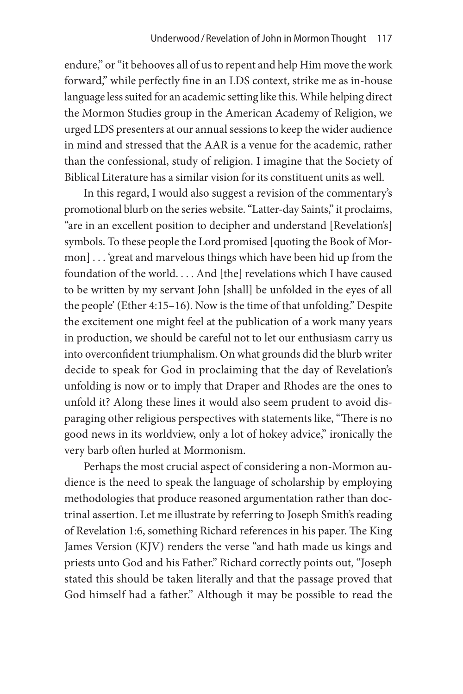endure," or "it behooves all of us to repent and help Him move the work forward," while perfectly fine in an LDS context, strike me as in-house language less suited for an academic setting like this. While helping direct the Mormon Studies group in the American Academy of Religion, we urged LDS presenters at our annual sessions to keep the wider audience in mind and stressed that the AAR is a venue for the academic, rather than the confessional, study of religion. I imagine that the Society of Biblical Literature has a similar vision for its constituent units as well.

In this regard, I would also suggest a revision of the commentary's promotional blurb on the series website. "Latter-day Saints," it proclaims, "are in an excellent position to decipher and understand [Revelation's] symbols. To these people the Lord promised [quoting the Book of Mormon] . . . 'great and marvelous things which have been hid up from the foundation of the world. . . . And [the] revelations which I have caused to be written by my servant John [shall] be unfolded in the eyes of all the people' (Ether 4:15–16). Now is the time of that unfolding." Despite the excitement one might feel at the publication of a work many years in production, we should be careful not to let our enthusiasm carry us into overconfident triumphalism. On what grounds did the blurb writer decide to speak for God in proclaiming that the day of Revelation's unfolding is now or to imply that Draper and Rhodes are the ones to unfold it? Along these lines it would also seem prudent to avoid disparaging other religious perspectives with statements like, "There is no good news in its worldview, only a lot of hokey advice," ironically the very barb often hurled at Mormonism.

Perhaps the most crucial aspect of considering a non-Mormon audience is the need to speak the language of scholarship by employing methodologies that produce reasoned argumentation rather than doctrinal assertion. Let me illustrate by referring to Joseph Smith's reading of Revelation 1:6, something Richard references in his paper. The King James Version (KJV) renders the verse "and hath made us kings and priests unto God and his Father." Richard correctly points out, "Joseph stated this should be taken literally and that the passage proved that God himself had a father." Although it may be possible to read the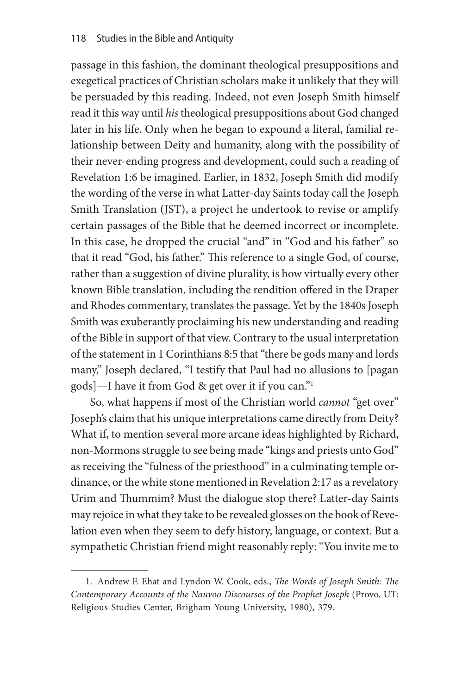passage in this fashion, the dominant theological presuppositions and exegetical practices of Christian scholars make it unlikely that they will be persuaded by this reading. Indeed, not even Joseph Smith himself read it this way until *his* theological presuppositions about God changed later in his life. Only when he began to expound a literal, familial relationship between Deity and humanity, along with the possibility of their never-ending progress and development, could such a reading of Revelation 1:6 be imagined. Earlier, in 1832, Joseph Smith did modify the wording of the verse in what Latter-day Saints today call the Joseph Smith Translation (JST), a project he undertook to revise or amplify certain passages of the Bible that he deemed incorrect or incomplete. In this case, he dropped the crucial "and" in "God and his father" so that it read "God, his father." This reference to a single God, of course, rather than a suggestion of divine plurality, is how virtually every other known Bible translation, including the rendition offered in the Draper and Rhodes commentary, translates the passage. Yet by the 1840s Joseph Smith was exuberantly proclaiming his new understanding and reading of the Bible in support of that view. Contrary to the usual interpretation of the statement in 1 Corinthians 8:5 that "there be gods many and lords many," Joseph declared, "I testify that Paul had no allusions to [pagan gods]—I have it from God & get over it if you can."1

So, what happens if most of the Christian world *cannot* "get over" Joseph's claim that his unique interpretations came directly from Deity? What if, to mention several more arcane ideas highlighted by Richard, non-Mormons struggle to see being made "kings and priests unto God" as receiving the "fulness of the priesthood" in a culminating temple ordinance, or the white stone mentioned in Revelation 2:17 as a revelatory Urim and Thummim? Must the dialogue stop there? Latter-day Saints may rejoice in what they take to be revealed glosses on the book of Revelation even when they seem to defy history, language, or context. But a sympathetic Christian friend might reasonably reply: "You invite me to

<sup>1.</sup> Andrew F. Ehat and Lyndon W. Cook, eds., *The Words of Joseph Smith: The Contemporary Accounts of the Nauvoo Discourses of the Prophet Joseph* (Provo, UT: Religious Studies Center, Brigham Young University, 1980), 379.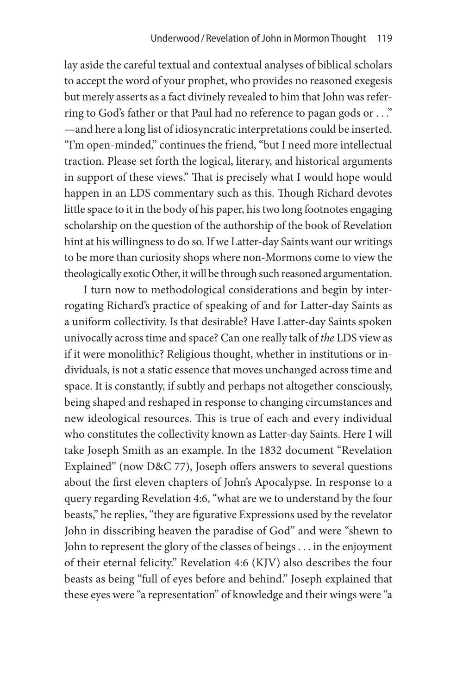lay aside the careful textual and contextual analyses of biblical scholars to accept the word of your prophet, who provides no reasoned exegesis but merely asserts as a fact divinely revealed to him that John was referring to God's father or that Paul had no reference to pagan gods or . . ." —and here a long list of idiosyncratic interpretations could be inserted. "I'm open-minded," continues the friend, "but I need more intellectual traction. Please set forth the logical, literary, and historical arguments in support of these views." That is precisely what I would hope would happen in an LDS commentary such as this. Though Richard devotes little space to it in the body of his paper, his two long footnotes engaging scholarship on the question of the authorship of the book of Revelation hint at his willingness to do so. If we Latter-day Saints want our writings to be more than curiosity shops where non-Mormons come to view the theologically exotic Other, it will be through such reasoned argumentation.

I turn now to methodological considerations and begin by interrogating Richard's practice of speaking of and for Latter-day Saints as a uniform collectivity. Is that desirable? Have Latter-day Saints spoken univocally across time and space? Can one really talk of *the* LDS view as if it were monolithic? Religious thought, whether in institutions or individuals, is not a static essence that moves unchanged across time and space. It is constantly, if subtly and perhaps not altogether consciously, being shaped and reshaped in response to changing circumstances and new ideological resources. This is true of each and every individual who constitutes the collectivity known as Latter-day Saints. Here I will take Joseph Smith as an example. In the 1832 document "Revelation Explained" (now D&C 77), Joseph offers answers to several questions about the first eleven chapters of John's Apocalypse. In response to a query regarding Revelation 4:6, "what are we to understand by the four beasts," he replies, "they are figurative Expressions used by the revelator John in disscribing heaven the paradise of God" and were "shewn to John to represent the glory of the classes of beings . . . in the enjoyment of their eternal felicity." Revelation 4:6 (KJV) also describes the four beasts as being "full of eyes before and behind." Joseph explained that these eyes were "a representation" of knowledge and their wings were "a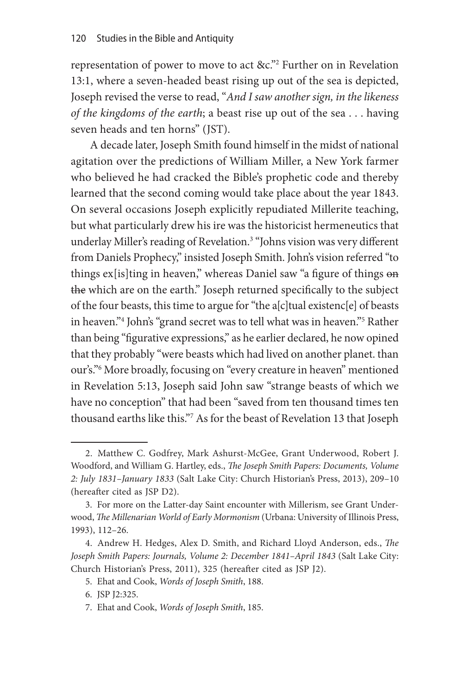representation of power to move to act &c."<sup>2</sup> Further on in Revelation 13:1, where a seven-headed beast rising up out of the sea is depicted, Joseph revised the verse to read, "*And I saw another sign, in the likeness of the kingdoms of the earth*; a beast rise up out of the sea . . . having seven heads and ten horns" (JST).

A decade later, Joseph Smith found himself in the midst of national agitation over the predictions of William Miller, a New York farmer who believed he had cracked the Bible's prophetic code and thereby learned that the second coming would take place about the year 1843. On several occasions Joseph explicitly repudiated Millerite teaching, but what particularly drew his ire was the historicist hermeneutics that underlay Miller's reading of Revelation.3 "Johns vision was very different from Daniels Prophecy," insisted Joseph Smith. John's vision referred "to things ex<sup>[is]</sup>ting in heaven," whereas Daniel saw "a figure of things on the which are on the earth." Joseph returned specifically to the subject of the four beasts, this time to argue for "the a[c]tual existenc[e] of beasts in heaven."4 John's "grand secret was to tell what was in heaven."5 Rather than being "figurative expressions," as he earlier declared, he now opined that they probably "were beasts which had lived on another planet. than our's."6 More broadly, focusing on "every creature in heaven" mentioned in Revelation 5:13, Joseph said John saw "strange beasts of which we have no conception" that had been "saved from ten thousand times ten thousand earths like this."7 As for the beast of Revelation 13 that Joseph

<sup>2.</sup> Matthew C. Godfrey, Mark Ashurst-McGee, Grant Underwood, Robert J. Woodford, and William G. Hartley, eds., *The Joseph Smith Papers: Documents, Volume 2: July 1831–January 1833* (Salt Lake City: Church Historian's Press, 2013), 209–10 (hereafter cited as JSP D2).

<sup>3.</sup> For more on the Latter-day Saint encounter with Millerism, see Grant Underwood, *The Millenarian World of Early Mormonism* (Urbana: University of Illinois Press, 1993), 112–26.

<sup>4.</sup> Andrew H. Hedges, Alex D. Smith, and Richard Lloyd Anderson, eds., *The*  Joseph Smith Papers: Journals, Volume 2: December 1841-April 1843 (Salt Lake City: Church Historian's Press, 2011), 325 (hereafter cited as JSP J2).

<sup>5.</sup> Ehat and Cook, *Words of Joseph Smith*, 188.

<sup>6.</sup> JSP J2:325.

<sup>7.</sup> Ehat and Cook, *Words of Joseph Smith*, 185.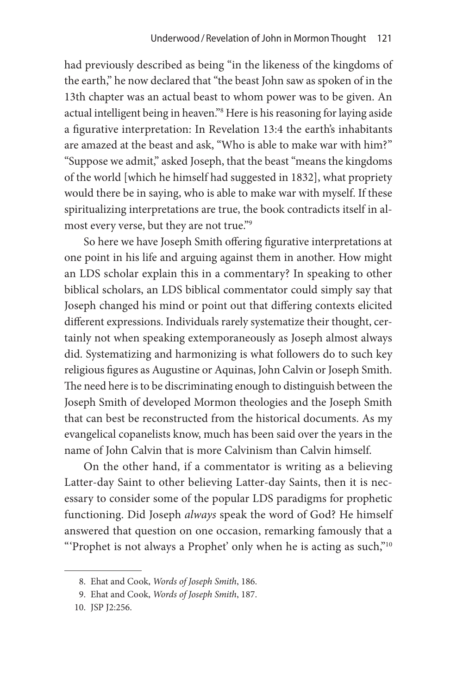had previously described as being "in the likeness of the kingdoms of the earth," he now declared that "the beast John saw as spoken of in the 13th chapter was an actual beast to whom power was to be given. An actual intelligent being in heaven."8 Here is his reasoning for laying aside a figurative interpretation: In Revelation 13:4 the earth's inhabitants are amazed at the beast and ask, "Who is able to make war with him?" "Suppose we admit," asked Joseph, that the beast "means the kingdoms of the world [which he himself had suggested in 1832], what propriety would there be in saying, who is able to make war with myself. If these spiritualizing interpretations are true, the book contradicts itself in almost every verse, but they are not true."9

So here we have Joseph Smith offering figurative interpretations at one point in his life and arguing against them in another. How might an LDS scholar explain this in a commentary? In speaking to other biblical scholars, an LDS biblical commentator could simply say that Joseph changed his mind or point out that differing contexts elicited different expressions. Individuals rarely systematize their thought, certainly not when speaking extemporaneously as Joseph almost always did. Systematizing and harmonizing is what followers do to such key religious figures as Augustine or Aquinas, John Calvin or Joseph Smith. The need here is to be discriminating enough to distinguish between the Joseph Smith of developed Mormon theologies and the Joseph Smith that can best be reconstructed from the historical documents. As my evangelical copanelists know, much has been said over the years in the name of John Calvin that is more Calvinism than Calvin himself.

On the other hand, if a commentator is writing as a believing Latter-day Saint to other believing Latter-day Saints, then it is necessary to consider some of the popular LDS paradigms for prophetic functioning. Did Joseph *always* speak the word of God? He himself answered that question on one occasion, remarking famously that a "'Prophet is not always a Prophet' only when he is acting as such,"10

<sup>8.</sup> Ehat and Cook, *Words of Joseph Smith*, 186.

<sup>9.</sup> Ehat and Cook, *Words of Joseph Smith*, 187.

<sup>10.</sup> JSP J2:256.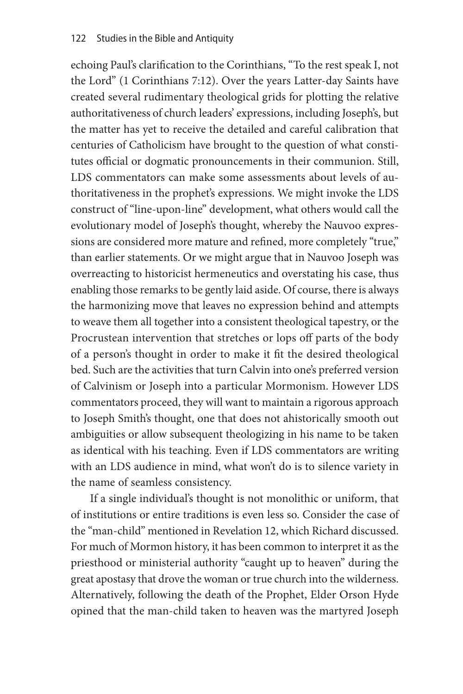echoing Paul's clarification to the Corinthians, "To the rest speak I, not the Lord" (1 Corinthians 7:12). Over the years Latter-day Saints have created several rudimentary theological grids for plotting the relative authoritativeness of church leaders' expressions, including Joseph's, but the matter has yet to receive the detailed and careful calibration that centuries of Catholicism have brought to the question of what constitutes official or dogmatic pronouncements in their communion. Still, LDS commentators can make some assessments about levels of authoritativeness in the prophet's expressions. We might invoke the LDS construct of "line-upon-line" development, what others would call the evolutionary model of Joseph's thought, whereby the Nauvoo expressions are considered more mature and refined, more completely "true," than earlier statements. Or we might argue that in Nauvoo Joseph was overreacting to historicist hermeneutics and overstating his case, thus enabling those remarks to be gently laid aside. Of course, there is always the harmonizing move that leaves no expression behind and attempts to weave them all together into a consistent theological tapestry, or the Procrustean intervention that stretches or lops off parts of the body of a person's thought in order to make it fit the desired theological bed. Such are the activities that turn Calvin into one's preferred version of Calvinism or Joseph into a particular Mormonism. However LDS commentators proceed, they will want to maintain a rigorous approach to Joseph Smith's thought, one that does not ahistorically smooth out ambiguities or allow subsequent theologizing in his name to be taken as identical with his teaching. Even if LDS commentators are writing with an LDS audience in mind, what won't do is to silence variety in the name of seamless consistency.

If a single individual's thought is not monolithic or uniform, that of institutions or entire traditions is even less so. Consider the case of the "man-child" mentioned in Revelation 12, which Richard discussed. For much of Mormon history, it has been common to interpret it as the priesthood or ministerial authority "caught up to heaven" during the great apostasy that drove the woman or true church into the wilderness. Alternatively, following the death of the Prophet, Elder Orson Hyde opined that the man-child taken to heaven was the martyred Joseph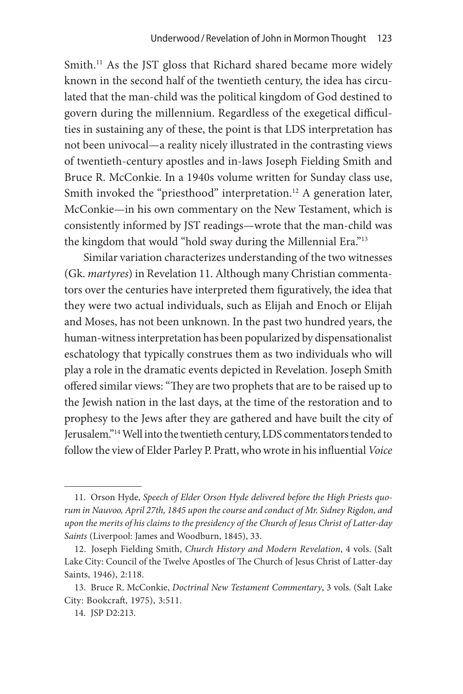Smith.<sup>11</sup> As the JST gloss that Richard shared became more widely known in the second half of the twentieth century, the idea has circulated that the man-child was the political kingdom of God destined to govern during the millennium. Regardless of the exegetical difficulties in sustaining any of these, the point is that LDS interpretation has not been univocal—a reality nicely illustrated in the contrasting views of twentieth-century apostles and in-laws Joseph Fielding Smith and Bruce R. McConkie. In a 1940s volume written for Sunday class use, Smith invoked the "priesthood" interpretation.<sup>12</sup> A generation later, McConkie—in his own commentary on the New Testament, which is consistently informed by JST readings—wrote that the man-child was the kingdom that would "hold sway during the Millennial Era."<sup>13</sup>

Similar variation characterizes understanding of the two witnesses (Gk. *martyres*) in Revelation 11. Although many Christian commentators over the centuries have interpreted them figuratively, the idea that they were two actual individuals, such as Elijah and Enoch or Elijah and Moses, has not been unknown. In the past two hundred years, the human-witness interpretation has been popularized by dispensationalist eschatology that typically construes them as two individuals who will play a role in the dramatic events depicted in Revelation. Joseph Smith offered similar views: "They are two prophets that are to be raised up to the Jewish nation in the last days, at the time of the restoration and to prophesy to the Jews after they are gathered and have built the city of Jerusalem."14 Well into the twentieth century, LDS commentators tended to follow the view of Elder Parley P. Pratt, who wrote in his influential *Voice* 

<sup>11.</sup> Orson Hyde, *Speech of Elder Orson Hyde delivered before the High Priests quorum in Nauvoo, April 27th, 1845 upon the course and conduct of Mr. Sidney Rigdon, and upon the merits of his claims to the presidency of the Church of Jesus Christ of Latter-day Saints* (Liverpool: James and Woodburn, 1845), 33.

<sup>12.</sup> Joseph Fielding Smith, *Church History and Modern Revelation*, 4 vols. (Salt Lake City: Council of the Twelve Apostles of The Church of Jesus Christ of Latter-day Saints, 1946), 2:118.

<sup>13.</sup> Bruce R. McConkie, *Doctrinal New Testament Commentary*, 3 vols. (Salt Lake City: Bookcraft, 1975), 3:511.

<sup>14.</sup> JSP D2:213.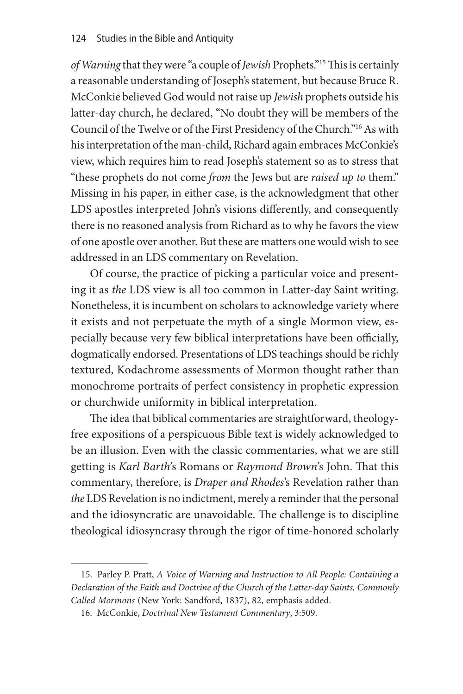*of Warning* that they were "a couple of *Jewish* Prophets."15 This is certainly a reasonable understanding of Joseph's statement, but because Bruce R. McConkie believed God would not raise up *Jewish* prophets outside his latter-day church, he declared, "No doubt they will be members of the Council of the Twelve or of the First Presidency of the Church."16 As with his interpretation of the man-child, Richard again embraces McConkie's view, which requires him to read Joseph's statement so as to stress that "these prophets do not come *from* the Jews but are *raised up to* them." Missing in his paper, in either case, is the acknowledgment that other LDS apostles interpreted John's visions differently, and consequently there is no reasoned analysis from Richard as to why he favors the view of one apostle over another. But these are matters one would wish to see addressed in an LDS commentary on Revelation.

Of course, the practice of picking a particular voice and presenting it as *the* LDS view is all too common in Latter-day Saint writing. Nonetheless, it is incumbent on scholars to acknowledge variety where it exists and not perpetuate the myth of a single Mormon view, especially because very few biblical interpretations have been officially, dogmatically endorsed. Presentations of LDS teachings should be richly textured, Kodachrome assessments of Mormon thought rather than monochrome portraits of perfect consistency in prophetic expression or churchwide uniformity in biblical interpretation.

The idea that biblical commentaries are straightforward, theologyfree expositions of a perspicuous Bible text is widely acknowledged to be an illusion. Even with the classic commentaries, what we are still getting is *Karl Barth'*s Romans or *Raymond Brown'*s John. That this commentary, therefore, is *Draper and Rhodes*'s Revelation rather than *the* LDS Revelation is no indictment, merely a reminder that the personal and the idiosyncratic are unavoidable. The challenge is to discipline theological idiosyncrasy through the rigor of time-honored scholarly

<sup>15.</sup> Parley P. Pratt, *A Voice of Warning and Instruction to All People: Containing a Declaration of the Faith and Doctrine of the Church of the Latter-day Saints, Commonly Called Mormons* (New York: Sandford, 1837), 82, emphasis added.

<sup>16.</sup> McConkie, *Doctrinal New Testament Commentary*, 3:509.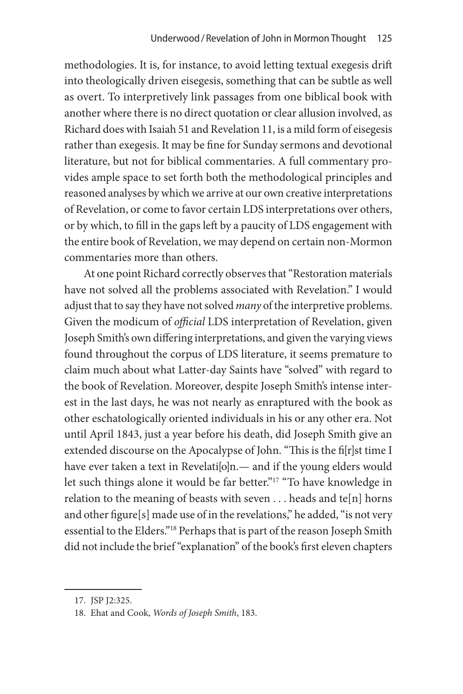methodologies. It is, for instance, to avoid letting textual exegesis drift into theologically driven eisegesis, something that can be subtle as well as overt. To interpretively link passages from one biblical book with another where there is no direct quotation or clear allusion involved, as Richard does with Isaiah 51 and Revelation 11, is a mild form of eisegesis rather than exegesis. It may be fine for Sunday sermons and devotional literature, but not for biblical commentaries. A full commentary provides ample space to set forth both the methodological principles and reasoned analyses by which we arrive at our own creative interpretations of Revelation, or come to favor certain LDS interpretations over others, or by which, to fill in the gaps left by a paucity of LDS engagement with the entire book of Revelation, we may depend on certain non-Mormon commentaries more than others.

At one point Richard correctly observes that "Restoration materials have not solved all the problems associated with Revelation." I would adjust that to say they have not solved *many* of the interpretive problems. Given the modicum of *official* LDS interpretation of Revelation, given Joseph Smith's own differing interpretations, and given the varying views found throughout the corpus of LDS literature, it seems premature to claim much about what Latter-day Saints have "solved" with regard to the book of Revelation. Moreover, despite Joseph Smith's intense interest in the last days, he was not nearly as enraptured with the book as other eschatologically oriented individuals in his or any other era. Not until April 1843, just a year before his death, did Joseph Smith give an extended discourse on the Apocalypse of John. "This is the fi[r]st time I have ever taken a text in Revelati $[0]$ n.— and if the young elders would let such things alone it would be far better."<sup>17</sup> "To have knowledge in relation to the meaning of beasts with seven  $\dots$  heads and te[n] horns and other figure[s] made use of in the revelations," he added, "is not very essential to the Elders."18 Perhaps that is part of the reason Joseph Smith did not include the brief "explanation" of the book's first eleven chapters

<sup>17.</sup> JSP J2:325.

<sup>18.</sup> Ehat and Cook, *Words of Joseph Smith*, 183.